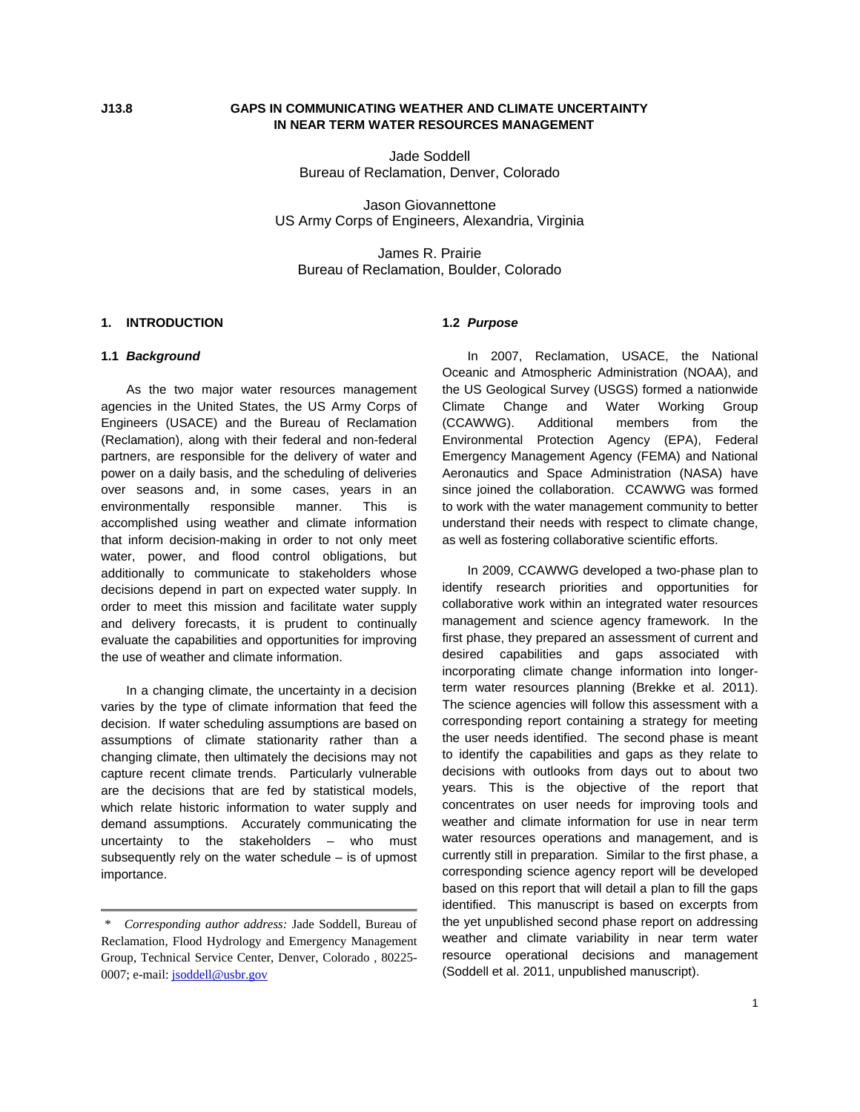# **J13.8 GAPS IN COMMUNICATING WEATHER AND CLIMATE UNCERTAINTY IN NEAR TERM WATER RESOURCES MANAGEMENT**

Jade Soddell Bureau of Reclamation, Denver, Colorado

Jason Giovannettone US Army Corps of Engineers, Alexandria, Virginia

James R. Prairie Bureau of Reclamation, Boulder, Colorado

## **1. INTRODUCTION**

### **1.1** *Background*

As the two major water resources management agencies in the United States, the US Army Corps of Engineers (USACE) and the Bureau of Reclamation (Reclamation), along with their federal and non-federal partners, are responsible for the delivery of water and power on a daily basis, and the scheduling of deliveries over seasons and, in some cases, years in an environmentally responsible manner. This is accomplished using weather and climate information that inform decision-making in order to not only meet water, power, and flood control obligations, but additionally to communicate to stakeholders whose decisions depend in part on expected water supply. In order to meet this mission and facilitate water supply and delivery forecasts, it is prudent to continually evaluate the capabilities and opportunities for improving the use of weather and climate information.

In a changing climate, the uncertainty in a decision varies by the type of climate information that feed the decision. If water scheduling assumptions are based on assumptions of climate stationarity rather than a changing climate, then ultimately the decisions may not capture recent climate trends. Particularly vulnerable are the decisions that are fed by statistical models, which relate historic information to water supply and demand assumptions. Accurately communicating the uncertainty to the stakeholders – who must subsequently rely on the water schedule – is of upmost importance.

# **1.2** *Purpose*

In 2007, Reclamation, USACE, the National Oceanic and Atmospheric Administration (NOAA), and the US Geological Survey (USGS) formed a nationwide Climate Change and Water Working Group (CCAWWG). Additional members from the Environmental Protection Agency (EPA), Federal Emergency Management Agency (FEMA) and National Aeronautics and Space Administration (NASA) have since joined the collaboration. CCAWWG was formed to work with the water management community to better understand their needs with respect to climate change, as well as fostering collaborative scientific efforts.

In 2009, CCAWWG developed a two-phase plan to identify research priorities and opportunities for collaborative work within an integrated water resources management and science agency framework. In the first phase, they prepared an assessment of current and desired capabilities and gaps associated with incorporating climate change information into longerterm water resources planning (Brekke et al. 2011). The science agencies will follow this assessment with a corresponding report containing a strategy for meeting the user needs identified. The second phase is meant to identify the capabilities and gaps as they relate to decisions with outlooks from days out to about two years. This is the objective of the report that concentrates on user needs for improving tools and weather and climate information for use in near term water resources operations and management, and is currently still in preparation. Similar to the first phase, a corresponding science agency report will be developed based on this report that will detail a plan to fill the gaps identified. This manuscript is based on excerpts from the yet unpublished second phase report on addressing weather and climate variability in near term water resource operational decisions and management (Soddell et al. 2011, unpublished manuscript).

 *<sup>\*</sup> Corresponding author address:* Jade Soddell, Bureau of Reclamation, Flood Hydrology and Emergency Management Group, Technical Service Center, Denver, Colorado , 80225- 0007; e-mail: [jsoddell@usbr.gov](mailto:jsoddell@usbr.gov)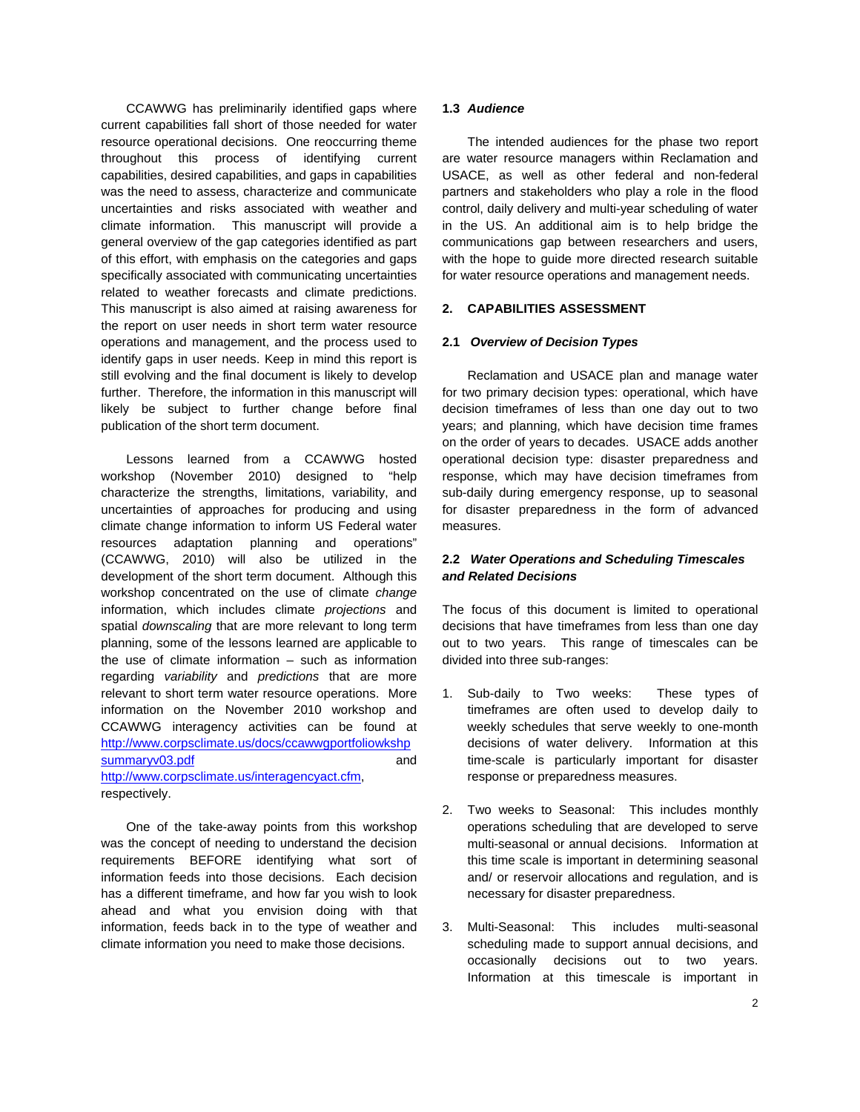CCAWWG has preliminarily identified gaps where current capabilities fall short of those needed for water resource operational decisions. One reoccurring theme throughout this process of identifying current capabilities, desired capabilities, and gaps in capabilities was the need to assess, characterize and communicate uncertainties and risks associated with weather and climate information. This manuscript will provide a general overview of the gap categories identified as part of this effort, with emphasis on the categories and gaps specifically associated with communicating uncertainties related to weather forecasts and climate predictions. This manuscript is also aimed at raising awareness for the report on user needs in short term water resource operations and management, and the process used to identify gaps in user needs. Keep in mind this report is still evolving and the final document is likely to develop further. Therefore, the information in this manuscript will likely be subject to further change before final publication of the short term document.

Lessons learned from a CCAWWG hosted workshop (November 2010) designed to "help characterize the strengths, limitations, variability, and uncertainties of approaches for producing and using climate change information to inform US Federal water resources adaptation planning and operations" (CCAWWG, 2010) will also be utilized in the development of the short term document. Although this workshop concentrated on the use of climate *change* information, which includes climate *projections* and spatial *downscaling* that are more relevant to long term planning, some of the lessons learned are applicable to the use of climate information – such as information regarding *variability* and *predictions* that are more relevant to short term water resource operations. More information on the November 2010 workshop and CCAWWG interagency activities can be found at [http://www.corpsclimate.us/docs/ccawwgportfoliowkshp](http://www.corpsclimate.us/docs/ccawwgportfoliowkshpsummaryv03.pdf) [summaryv03.pdf](http://www.corpsclimate.us/docs/ccawwgportfoliowkshpsummaryv03.pdf) and and <http://www.corpsclimate.us/interagencyact.cfm>, respectively.

One of the take-away points from this workshop was the concept of needing to understand the decision requirements BEFORE identifying what sort of information feeds into those decisions. Each decision has a different timeframe, and how far you wish to look ahead and what you envision doing with that information, feeds back in to the type of weather and climate information you need to make those decisions.

## **1.3** *Audience*

The intended audiences for the phase two report are water resource managers within Reclamation and USACE, as well as other federal and non-federal partners and stakeholders who play a role in the flood control, daily delivery and multi-year scheduling of water in the US. An additional aim is to help bridge the communications gap between researchers and users, with the hope to guide more directed research suitable for water resource operations and management needs.

# **2. CAPABILITIES ASSESSMENT**

### **2.1** *Overview of Decision Types*

Reclamation and USACE plan and manage water for two primary decision types: operational, which have decision timeframes of less than one day out to two years; and planning, which have decision time frames on the order of years to decades. USACE adds another operational decision type: disaster preparedness and response, which may have decision timeframes from sub-daily during emergency response, up to seasonal for disaster preparedness in the form of advanced measures.

# **2.2** *Water Operations and Scheduling Timescales and Related Decisions*

The focus of this document is limited to operational decisions that have timeframes from less than one day out to two years. This range of timescales can be divided into three sub-ranges:

- 1. Sub-daily to Two weeks: These types of timeframes are often used to develop daily to weekly schedules that serve weekly to one-month decisions of water delivery. Information at this time-scale is particularly important for disaster response or preparedness measures.
- 2. Two weeks to Seasonal: This includes monthly operations scheduling that are developed to serve multi-seasonal or annual decisions. Information at this time scale is important in determining seasonal and/ or reservoir allocations and regulation, and is necessary for disaster preparedness.
- 3. Multi-Seasonal: This includes multi-seasonal scheduling made to support annual decisions, and occasionally decisions out to two years. Information at this timescale is important in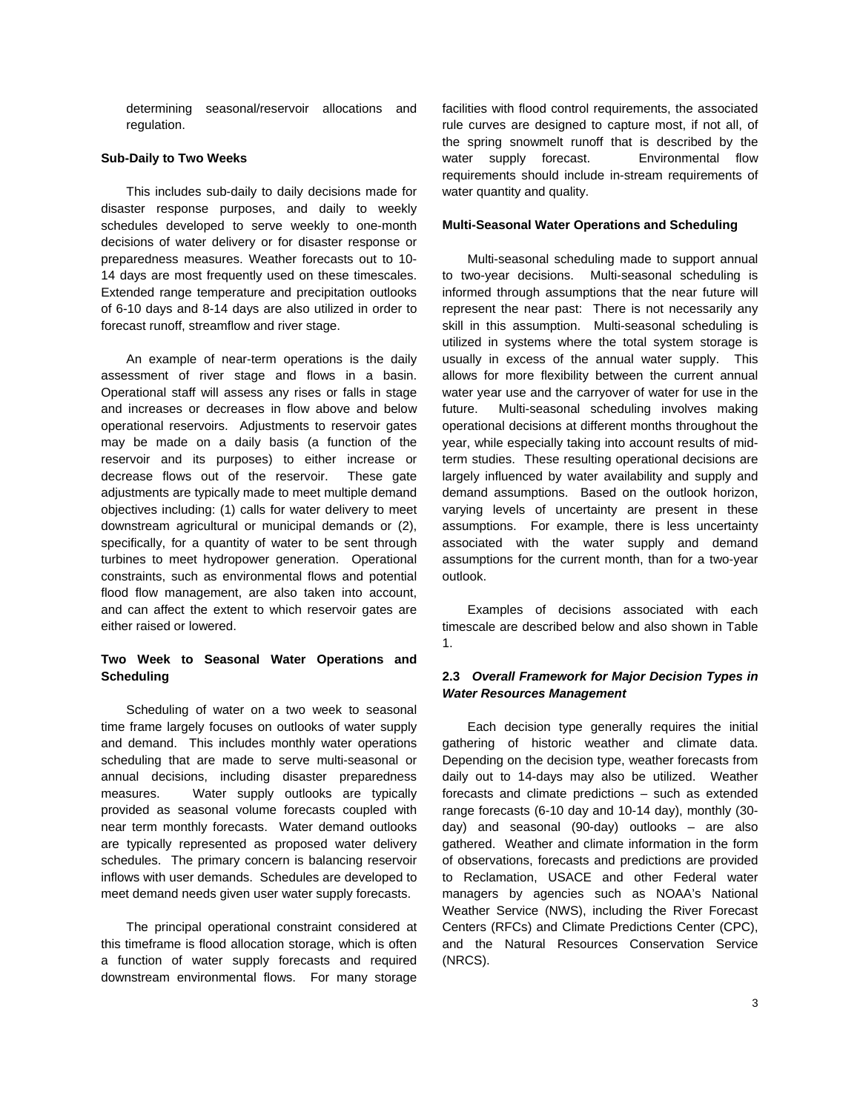determining seasonal/reservoir allocations and regulation.

#### **Sub-Daily to Two Weeks**

This includes sub-daily to daily decisions made for disaster response purposes, and daily to weekly schedules developed to serve weekly to one-month decisions of water delivery or for disaster response or preparedness measures. Weather forecasts out to 10- 14 days are most frequently used on these timescales. Extended range temperature and precipitation outlooks of 6-10 days and 8-14 days are also utilized in order to forecast runoff, streamflow and river stage.

An example of near-term operations is the daily assessment of river stage and flows in a basin. Operational staff will assess any rises or falls in stage and increases or decreases in flow above and below operational reservoirs. Adjustments to reservoir gates may be made on a daily basis (a function of the reservoir and its purposes) to either increase or decrease flows out of the reservoir. These gate adjustments are typically made to meet multiple demand objectives including: (1) calls for water delivery to meet downstream agricultural or municipal demands or (2), specifically, for a quantity of water to be sent through turbines to meet hydropower generation. Operational constraints, such as environmental flows and potential flood flow management, are also taken into account, and can affect the extent to which reservoir gates are either raised or lowered.

# **Two Week to Seasonal Water Operations and Scheduling**

Scheduling of water on a two week to seasonal time frame largely focuses on outlooks of water supply and demand. This includes monthly water operations scheduling that are made to serve multi-seasonal or annual decisions, including disaster preparedness measures. Water supply outlooks are typically provided as seasonal volume forecasts coupled with near term monthly forecasts. Water demand outlooks are typically represented as proposed water delivery schedules. The primary concern is balancing reservoir inflows with user demands. Schedules are developed to meet demand needs given user water supply forecasts.

The principal operational constraint considered at this timeframe is flood allocation storage, which is often a function of water supply forecasts and required downstream environmental flows. For many storage

facilities with flood control requirements, the associated rule curves are designed to capture most, if not all, of the spring snowmelt runoff that is described by the water supply forecast. Environmental flow requirements should include in-stream requirements of water quantity and quality.

### **Multi-Seasonal Water Operations and Scheduling**

Multi-seasonal scheduling made to support annual to two-year decisions. Multi-seasonal scheduling is informed through assumptions that the near future will represent the near past: There is not necessarily any skill in this assumption. Multi-seasonal scheduling is utilized in systems where the total system storage is usually in excess of the annual water supply. This allows for more flexibility between the current annual water year use and the carryover of water for use in the future. Multi-seasonal scheduling involves making operational decisions at different months throughout the year, while especially taking into account results of midterm studies. These resulting operational decisions are largely influenced by water availability and supply and demand assumptions. Based on the outlook horizon, varying levels of uncertainty are present in these assumptions. For example, there is less uncertainty associated with the water supply and demand assumptions for the current month, than for a two-year outlook.

Examples of decisions associated with each timescale are described below and also shown in Table 1.

## **2.3** *Overall Framework for Major Decision Types in Water Resources Management*

Each decision type generally requires the initial gathering of historic weather and climate data. Depending on the decision type, weather forecasts from daily out to 14-days may also be utilized. Weather forecasts and climate predictions – such as extended range forecasts (6-10 day and 10-14 day), monthly (30 day) and seasonal (90-day) outlooks – are also gathered. Weather and climate information in the form of observations, forecasts and predictions are provided to Reclamation, USACE and other Federal water managers by agencies such as NOAA's National Weather Service (NWS), including the River Forecast Centers (RFCs) and Climate Predictions Center (CPC), and the Natural Resources Conservation Service (NRCS).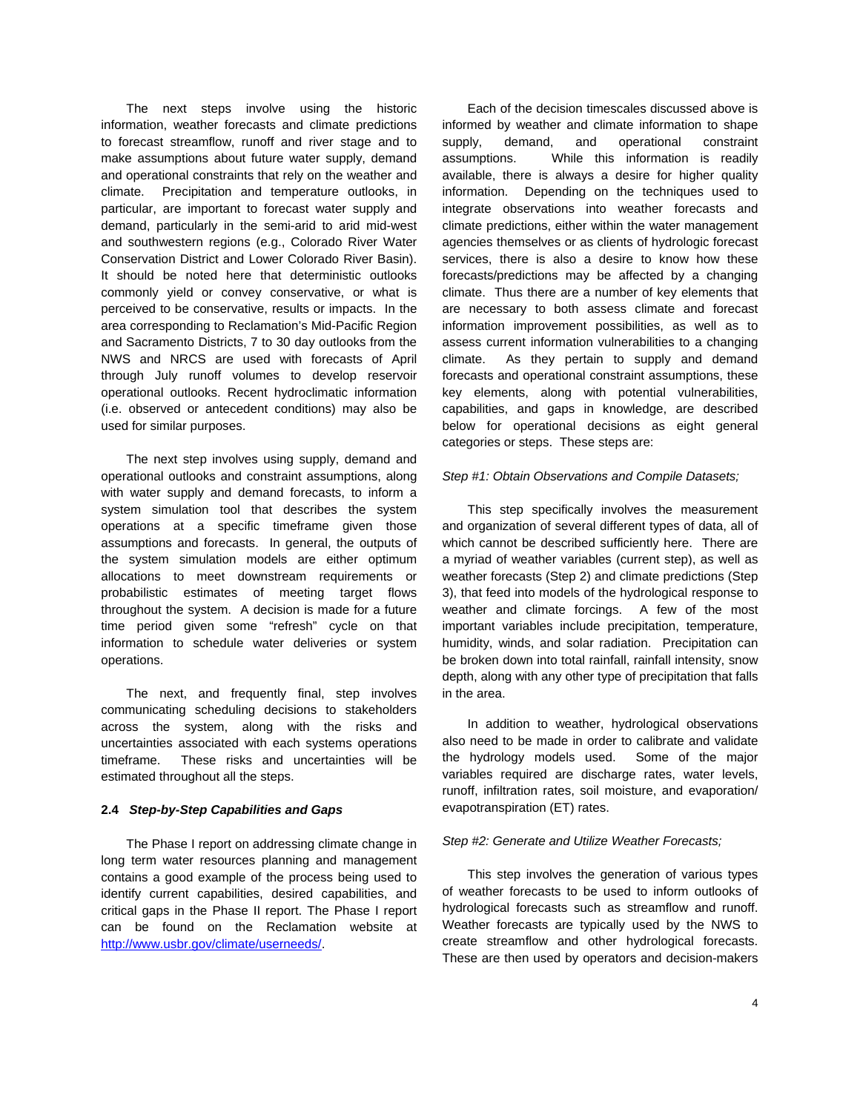The next steps involve using the historic information, weather forecasts and climate predictions to forecast streamflow, runoff and river stage and to make assumptions about future water supply, demand and operational constraints that rely on the weather and climate. Precipitation and temperature outlooks, in particular, are important to forecast water supply and demand, particularly in the semi-arid to arid mid-west and southwestern regions (e.g., Colorado River Water Conservation District and Lower Colorado River Basin). It should be noted here that deterministic outlooks commonly yield or convey conservative, or what is perceived to be conservative, results or impacts. In the area corresponding to Reclamation's Mid-Pacific Region and Sacramento Districts, 7 to 30 day outlooks from the NWS and NRCS are used with forecasts of April through July runoff volumes to develop reservoir operational outlooks. Recent hydroclimatic information (i.e. observed or antecedent conditions) may also be used for similar purposes.

The next step involves using supply, demand and operational outlooks and constraint assumptions, along with water supply and demand forecasts, to inform a system simulation tool that describes the system operations at a specific timeframe given those assumptions and forecasts. In general, the outputs of the system simulation models are either optimum allocations to meet downstream requirements or probabilistic estimates of meeting target flows throughout the system. A decision is made for a future time period given some "refresh" cycle on that information to schedule water deliveries or system operations.

The next, and frequently final, step involves communicating scheduling decisions to stakeholders across the system, along with the risks and uncertainties associated with each systems operations timeframe. These risks and uncertainties will be estimated throughout all the steps.

# **2.4** *Step-by-Step Capabilities and Gaps*

The Phase I report on addressing climate change in long term water resources planning and management contains a good example of the process being used to identify current capabilities, desired capabilities, and critical gaps in the Phase II report. The Phase I report can be found on the Reclamation website at <http://www.usbr.gov/climate/userneeds/>.

Each of the decision timescales discussed above is informed by weather and climate information to shape supply, demand, and operational constraint assumptions. While this information is readily available, there is always a desire for higher quality information. Depending on the techniques used to integrate observations into weather forecasts and climate predictions, either within the water management agencies themselves or as clients of hydrologic forecast services, there is also a desire to know how these forecasts/predictions may be affected by a changing climate. Thus there are a number of key elements that are necessary to both assess climate and forecast information improvement possibilities, as well as to assess current information vulnerabilities to a changing climate. As they pertain to supply and demand forecasts and operational constraint assumptions, these key elements, along with potential vulnerabilities, capabilities, and gaps in knowledge, are described below for operational decisions as eight general categories or steps. These steps are:

### *Step #1: Obtain Observations and Compile Datasets;*

This step specifically involves the measurement and organization of several different types of data, all of which cannot be described sufficiently here. There are a myriad of weather variables (current step), as well as weather forecasts (Step 2) and climate predictions (Step 3), that feed into models of the hydrological response to weather and climate forcings. A few of the most important variables include precipitation, temperature, humidity, winds, and solar radiation. Precipitation can be broken down into total rainfall, rainfall intensity, snow depth, along with any other type of precipitation that falls in the area.

In addition to weather, hydrological observations also need to be made in order to calibrate and validate the hydrology models used. Some of the major variables required are discharge rates, water levels, runoff, infiltration rates, soil moisture, and evaporation/ evapotranspiration (ET) rates.

### *Step #2: Generate and Utilize Weather Forecasts;*

This step involves the generation of various types of weather forecasts to be used to inform outlooks of hydrological forecasts such as streamflow and runoff. Weather forecasts are typically used by the NWS to create streamflow and other hydrological forecasts. These are then used by operators and decision-makers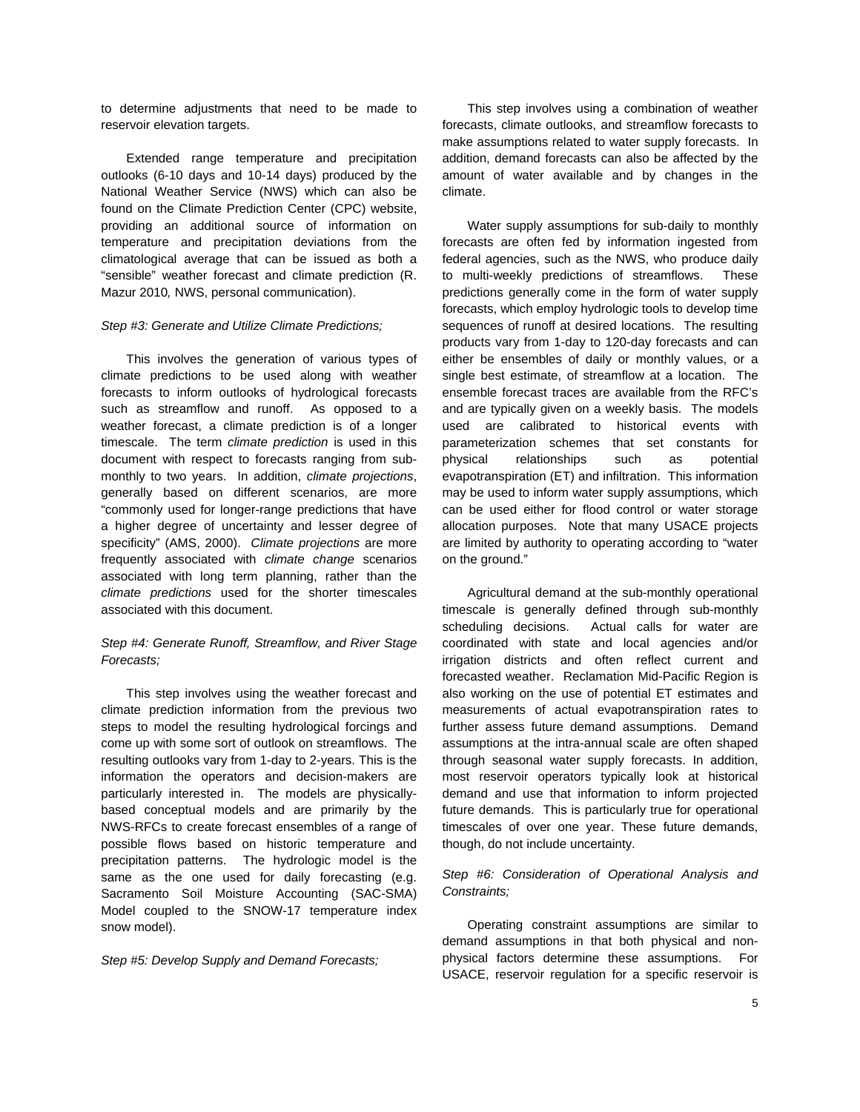to determine adjustments that need to be made to reservoir elevation targets.

Extended range temperature and precipitation outlooks (6-10 days and 10-14 days) produced by the National Weather Service (NWS) which can also be found on the Climate Prediction Center (CPC) website, providing an additional source of information on temperature and precipitation deviations from the climatological average that can be issued as both a "sensible" weather forecast and climate prediction (R. Mazur 2010*,* NWS, personal communication).

#### *Step #3: Generate and Utilize Climate Predictions;*

This involves the generation of various types of climate predictions to be used along with weather forecasts to inform outlooks of hydrological forecasts such as streamflow and runoff. As opposed to a weather forecast, a climate prediction is of a longer timescale. The term *climate prediction* is used in this document with respect to forecasts ranging from submonthly to two years. In addition, *climate projections*, generally based on different scenarios, are more "commonly used for longer-range predictions that have a higher degree of uncertainty and lesser degree of specificity" (AMS, 2000). *Climate projections* are more frequently associated with *climate change* scenarios associated with long term planning, rather than the *climate predictions* used for the shorter timescales associated with this document.

# *Step #4: Generate Runoff, Streamflow, and River Stage Forecasts;*

This step involves using the weather forecast and climate prediction information from the previous two steps to model the resulting hydrological forcings and come up with some sort of outlook on streamflows. The resulting outlooks vary from 1-day to 2-years. This is the information the operators and decision-makers are particularly interested in. The models are physicallybased conceptual models and are primarily by the NWS-RFCs to create forecast ensembles of a range of possible flows based on historic temperature and precipitation patterns. The hydrologic model is the same as the one used for daily forecasting (e.g. Sacramento Soil Moisture Accounting (SAC-SMA) Model coupled to the SNOW-17 temperature index snow model).

*Step #5: Develop Supply and Demand Forecasts;* 

This step involves using a combination of weather forecasts, climate outlooks, and streamflow forecasts to make assumptions related to water supply forecasts. In addition, demand forecasts can also be affected by the amount of water available and by changes in the climate.

Water supply assumptions for sub-daily to monthly forecasts are often fed by information ingested from federal agencies, such as the NWS, who produce daily to multi-weekly predictions of streamflows. These predictions generally come in the form of water supply forecasts, which employ hydrologic tools to develop time sequences of runoff at desired locations. The resulting products vary from 1-day to 120-day forecasts and can either be ensembles of daily or monthly values, or a single best estimate, of streamflow at a location. The ensemble forecast traces are available from the RFC's and are typically given on a weekly basis. The models used are calibrated to historical events with parameterization schemes that set constants for physical relationships such as potential evapotranspiration (ET) and infiltration. This information may be used to inform water supply assumptions, which can be used either for flood control or water storage allocation purposes. Note that many USACE projects are limited by authority to operating according to "water on the ground."

Agricultural demand at the sub-monthly operational timescale is generally defined through sub-monthly scheduling decisions. Actual calls for water are coordinated with state and local agencies and/or irrigation districts and often reflect current and forecasted weather. Reclamation Mid-Pacific Region is also working on the use of potential ET estimates and measurements of actual evapotranspiration rates to further assess future demand assumptions. Demand assumptions at the intra-annual scale are often shaped through seasonal water supply forecasts. In addition, most reservoir operators typically look at historical demand and use that information to inform projected future demands. This is particularly true for operational timescales of over one year. These future demands, though, do not include uncertainty.

## *Step #6: Consideration of Operational Analysis and Constraints;*

Operating constraint assumptions are similar to demand assumptions in that both physical and nonphysical factors determine these assumptions. For USACE, reservoir regulation for a specific reservoir is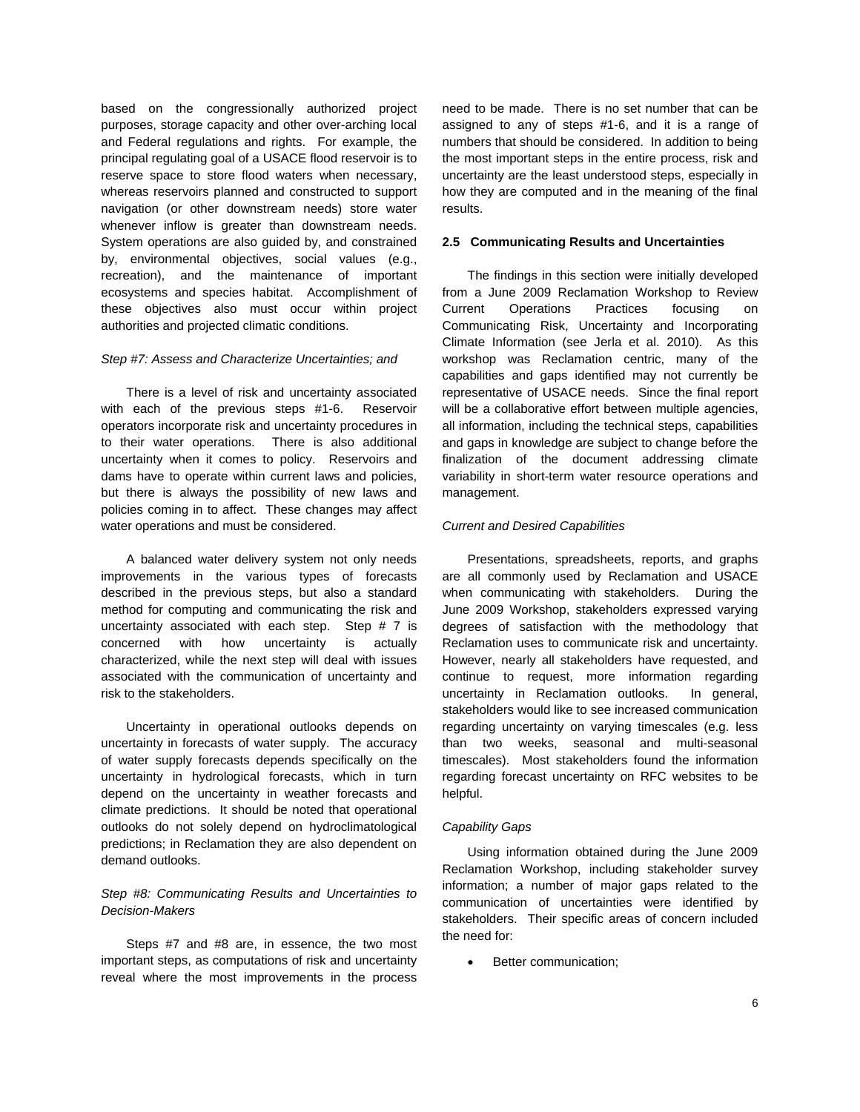based on the congressionally authorized project purposes, storage capacity and other over-arching local and Federal regulations and rights. For example, the principal regulating goal of a USACE flood reservoir is to reserve space to store flood waters when necessary, whereas reservoirs planned and constructed to support navigation (or other downstream needs) store water whenever inflow is greater than downstream needs. System operations are also guided by, and constrained by, environmental objectives, social values (e.g., recreation), and the maintenance of important ecosystems and species habitat. Accomplishment of these objectives also must occur within project authorities and projected climatic conditions.

#### *Step #7: Assess and Characterize Uncertainties; and*

There is a level of risk and uncertainty associated with each of the previous steps #1-6. Reservoir operators incorporate risk and uncertainty procedures in to their water operations. There is also additional uncertainty when it comes to policy. Reservoirs and dams have to operate within current laws and policies, but there is always the possibility of new laws and policies coming in to affect. These changes may affect water operations and must be considered.

A balanced water delivery system not only needs improvements in the various types of forecasts described in the previous steps, but also a standard method for computing and communicating the risk and uncertainty associated with each step. Step # 7 is concerned with how uncertainty is actually characterized, while the next step will deal with issues associated with the communication of uncertainty and risk to the stakeholders.

Uncertainty in operational outlooks depends on uncertainty in forecasts of water supply. The accuracy of water supply forecasts depends specifically on the uncertainty in hydrological forecasts, which in turn depend on the uncertainty in weather forecasts and climate predictions. It should be noted that operational outlooks do not solely depend on hydroclimatological predictions; in Reclamation they are also dependent on demand outlooks.

# *Step #8: Communicating Results and Uncertainties to Decision-Makers*

Steps #7 and #8 are, in essence, the two most important steps, as computations of risk and uncertainty reveal where the most improvements in the process

need to be made. There is no set number that can be assigned to any of steps #1-6, and it is a range of numbers that should be considered. In addition to being the most important steps in the entire process, risk and uncertainty are the least understood steps, especially in how they are computed and in the meaning of the final results.

#### **2.5 Communicating Results and Uncertainties**

The findings in this section were initially developed from a June 2009 Reclamation Workshop to Review Current Operations Practices focusing on Communicating Risk, Uncertainty and Incorporating Climate Information (see Jerla et al. 2010). As this workshop was Reclamation centric, many of the capabilities and gaps identified may not currently be representative of USACE needs. Since the final report will be a collaborative effort between multiple agencies, all information, including the technical steps, capabilities and gaps in knowledge are subject to change before the finalization of the document addressing climate variability in short-term water resource operations and management.

#### *Current and Desired Capabilities*

Presentations, spreadsheets, reports, and graphs are all commonly used by Reclamation and USACE when communicating with stakeholders. During the June 2009 Workshop, stakeholders expressed varying degrees of satisfaction with the methodology that Reclamation uses to communicate risk and uncertainty. However, nearly all stakeholders have requested, and continue to request, more information regarding uncertainty in Reclamation outlooks. In general, stakeholders would like to see increased communication regarding uncertainty on varying timescales (e.g. less than two weeks, seasonal and multi-seasonal timescales). Most stakeholders found the information regarding forecast uncertainty on RFC websites to be helpful.

### *Capability Gaps*

Using information obtained during the June 2009 Reclamation Workshop, including stakeholder survey information; a number of major gaps related to the communication of uncertainties were identified by stakeholders. Their specific areas of concern included the need for:

• Better communication;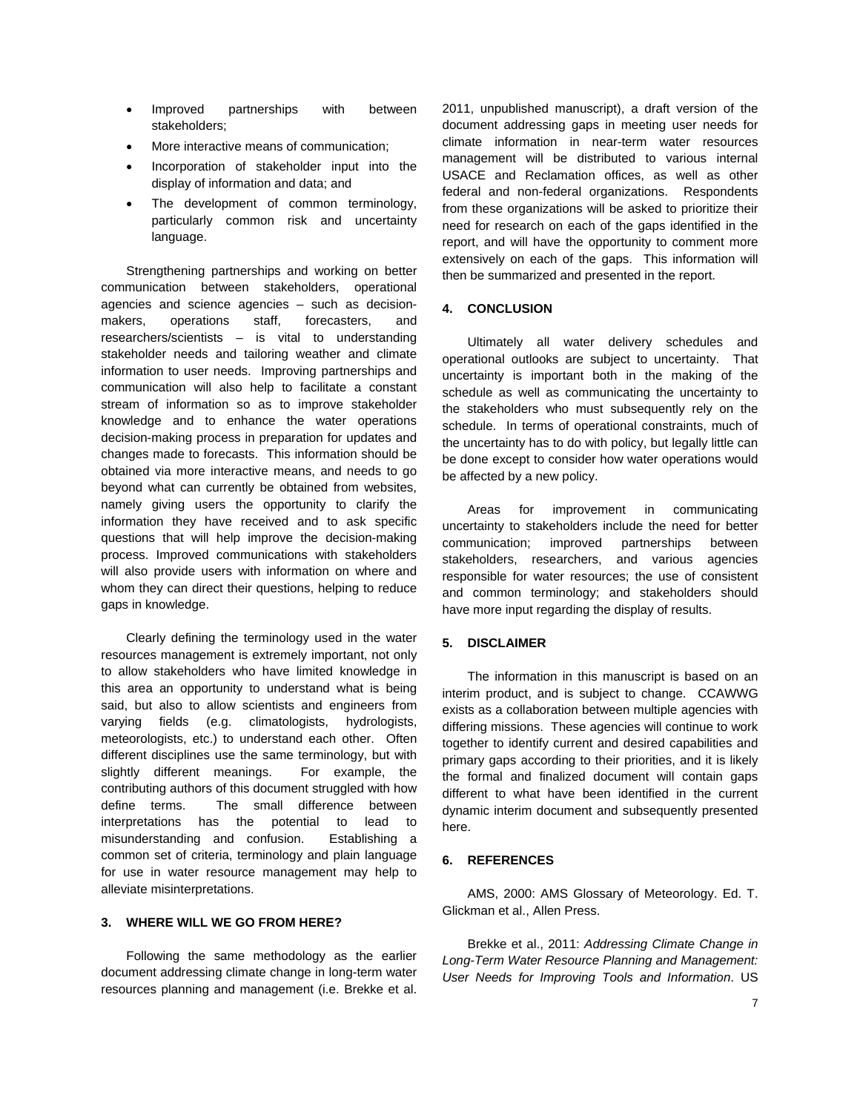- Improved partnerships with between stakeholders;
- More interactive means of communication;
- Incorporation of stakeholder input into the display of information and data; and
- The development of common terminology, particularly common risk and uncertainty language.

Strengthening partnerships and working on better communication between stakeholders, operational agencies and science agencies – such as decisionmakers, operations staff, forecasters, and researchers/scientists – is vital to understanding stakeholder needs and tailoring weather and climate information to user needs. Improving partnerships and communication will also help to facilitate a constant stream of information so as to improve stakeholder knowledge and to enhance the water operations decision-making process in preparation for updates and changes made to forecasts. This information should be obtained via more interactive means, and needs to go beyond what can currently be obtained from websites, namely giving users the opportunity to clarify the information they have received and to ask specific questions that will help improve the decision-making process. Improved communications with stakeholders will also provide users with information on where and whom they can direct their questions, helping to reduce gaps in knowledge.

Clearly defining the terminology used in the water resources management is extremely important, not only to allow stakeholders who have limited knowledge in this area an opportunity to understand what is being said, but also to allow scientists and engineers from varying fields (e.g. climatologists, hydrologists, meteorologists, etc.) to understand each other. Often different disciplines use the same terminology, but with slightly different meanings. For example, the contributing authors of this document struggled with how define terms. The small difference between interpretations has the potential to lead to misunderstanding and confusion. Establishing a common set of criteria, terminology and plain language for use in water resource management may help to alleviate misinterpretations.

## **3. WHERE WILL WE GO FROM HERE?**

Following the same methodology as the earlier document addressing climate change in long-term water resources planning and management (i.e. Brekke et al.

2011, unpublished manuscript), a draft version of the document addressing gaps in meeting user needs for climate information in near-term water resources management will be distributed to various internal USACE and Reclamation offices, as well as other federal and non-federal organizations. Respondents from these organizations will be asked to prioritize their need for research on each of the gaps identified in the report, and will have the opportunity to comment more extensively on each of the gaps. This information will then be summarized and presented in the report.

# **4. CONCLUSION**

Ultimately all water delivery schedules and operational outlooks are subject to uncertainty. That uncertainty is important both in the making of the schedule as well as communicating the uncertainty to the stakeholders who must subsequently rely on the schedule. In terms of operational constraints, much of the uncertainty has to do with policy, but legally little can be done except to consider how water operations would be affected by a new policy.

Areas for improvement in communicating uncertainty to stakeholders include the need for better communication; improved partnerships between stakeholders, researchers, and various agencies responsible for water resources; the use of consistent and common terminology; and stakeholders should have more input regarding the display of results.

## **5. DISCLAIMER**

The information in this manuscript is based on an interim product, and is subject to change. CCAWWG exists as a collaboration between multiple agencies with differing missions. These agencies will continue to work together to identify current and desired capabilities and primary gaps according to their priorities, and it is likely the formal and finalized document will contain gaps different to what have been identified in the current dynamic interim document and subsequently presented here.

### **6. REFERENCES**

AMS, 2000: AMS Glossary of Meteorology. Ed. T. Glickman et al., Allen Press.

Brekke et al., 2011: *Addressing Climate Change in Long-Term Water Resource Planning and Management: User Needs for Improving Tools and Information*. US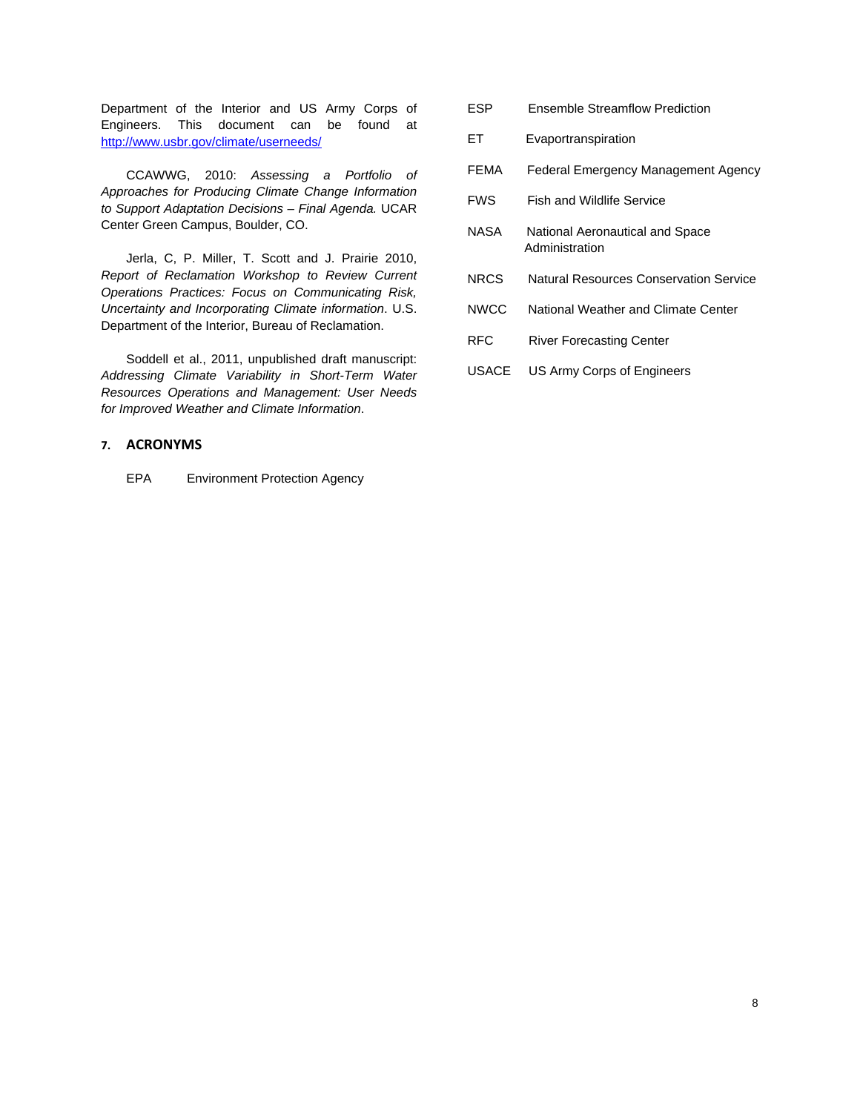Department of the Interior and US Army Corps of Engineers. This document can be found at <http://www.usbr.gov/climate/userneeds/>

CCAWWG, 2010: *Assessing a Portfolio of Approaches for Producing Climate Change Information to Support Adaptation Decisions – Final Agenda.* UCAR Center Green Campus, Boulder, CO.

Jerla, C, P. Miller, T. Scott and J. Prairie 2010, *Report of Reclamation Workshop to Review Current Operations Practices: Focus on Communicating Risk, Uncertainty and Incorporating Climate information*. U.S. Department of the Interior, Bureau of Reclamation.

Soddell et al., 2011, unpublished draft manuscript: *Addressing Climate Variability in Short-Term Water Resources Operations and Management: User Needs for Improved Weather and Climate Information*.

# **7. ACRONYMS**

EPA Environment Protection Agency

- ESP Ensemble Streamflow Prediction
- ET Evaportranspiration
- FEMA Federal Emergency Management Agency
- FWS Fish and Wildlife Service
- NASA National Aeronautical and Space Administration
- NRCS Natural Resources Conservation Service
- NWCC National Weather and Climate Center
- RFC River Forecasting Center
- USACE US Army Corps of Engineers